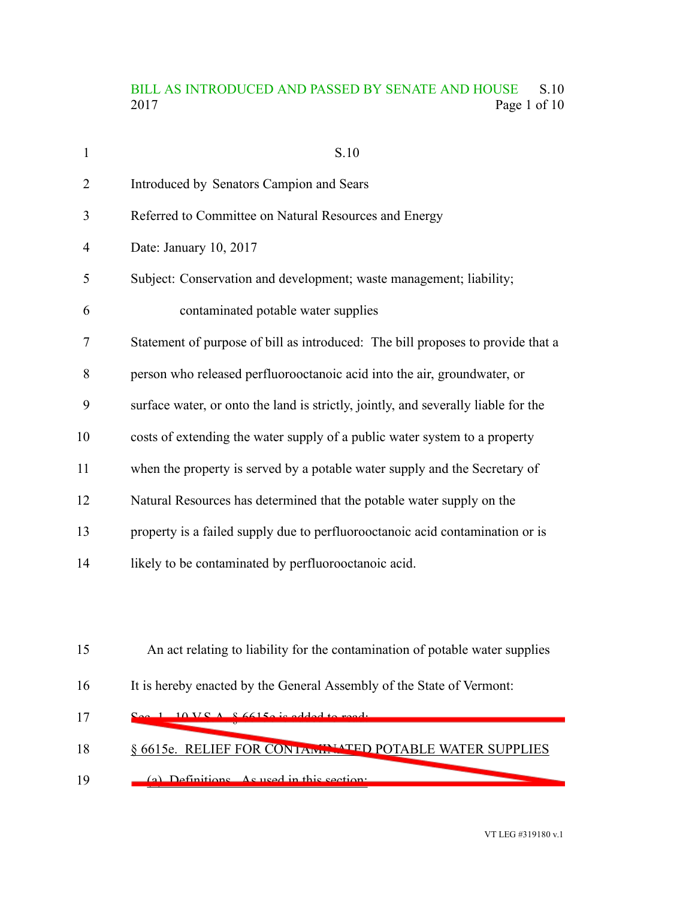## BILL AS INTRODUCED AND PASSED BY SENATE AND HOUSE S.10<br>2017 Page 1 of 10 Page 1 of 10

| $\mathbf{1}$ | S.10                                                                               |
|--------------|------------------------------------------------------------------------------------|
| 2            | Introduced by Senators Campion and Sears                                           |
| 3            | Referred to Committee on Natural Resources and Energy                              |
| 4            | Date: January 10, 2017                                                             |
| 5            | Subject: Conservation and development; waste management; liability;                |
| 6            | contaminated potable water supplies                                                |
| 7            | Statement of purpose of bill as introduced: The bill proposes to provide that a    |
| 8            | person who released perfluorooctanoic acid into the air, groundwater, or           |
| 9            | surface water, or onto the land is strictly, jointly, and severally liable for the |
| 10           | costs of extending the water supply of a public water system to a property         |
| 11           | when the property is served by a potable water supply and the Secretary of         |
| 12           | Natural Resources has determined that the potable water supply on the              |
| 13           | property is a failed supply due to perfluorooctanoic acid contamination or is      |
| 14           | likely to be contaminated by perfluorooctanoic acid.                               |
|              |                                                                                    |
|              |                                                                                    |
| 15           | An act relating to liability for the contamination of potable water supplies       |
| 16           | It is hereby enacted by the General Assembly of the State of Vermont:              |
| 17           | $10 VQ A R 6615$ a read to read.                                                   |
| 18           | § 6615e. RELIEF FOR CONTAINMENT POTABLE WATER SUPPLIES                             |

(a) Definitions. As used in this section: 19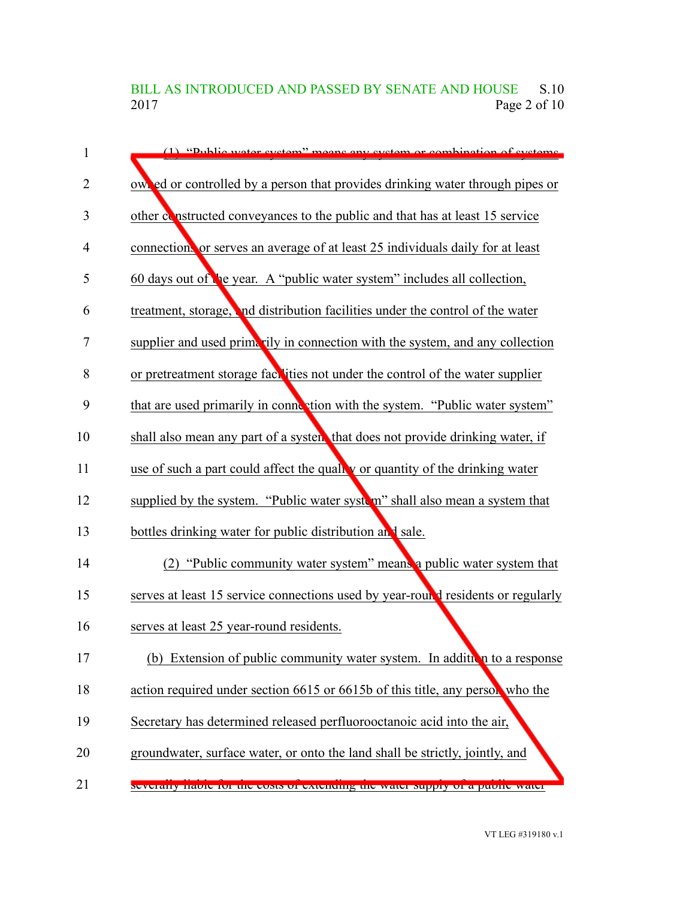BILL AS INTRODUCED AND PASSED BY SENATE AND HOUSE S.10<br>2017 Page 2 of 10 Page 2 of 10

| 1              | (1) "Public water system" means any system or combination of systems             |
|----------------|----------------------------------------------------------------------------------|
| $\overline{2}$ | owned or controlled by a person that provides drinking water through pipes or    |
| 3              | other constructed conveyances to the public and that has at least 15 service     |
| $\overline{4}$ | connection or serves an average of at least 25 individuals daily for at least    |
| 5              | 60 days out of the year. A "public water system" includes all collection,        |
| 6              | treatment, storage, and distribution facilities under the control of the water   |
| 7              | supplier and used primarily in connection with the system, and any collection    |
| 8              | or pretreatment storage face ties not under the control of the water supplier    |
| 9              | that are used primarily in connection with the system. "Public water system"     |
| 10             | shall also mean any part of a system that does not provide drinking water, if    |
| 11             | use of such a part could affect the quality or quantity of the drinking water    |
| 12             | supplied by the system. "Public water system" shall also mean a system that      |
| 13             | bottles drinking water for public distribution and sale.                         |
| 14             | (2) "Public community water system" means a public water system that             |
| 15             | serves at least 15 service connections used by year-round residents or regularly |
| 16             | serves at least 25 year-round residents.                                         |
| 17             | (b) Extension of public community water system. In addition to a response        |
| 18             | action required under section 6615 or 6615b of this title, any person who the    |
| 19             | Secretary has determined released perfluorooctanoic acid into the air,           |
| 20             | groundwater, surface water, or onto the land shall be strictly, jointly, and     |
| 21             | Severally habie for the costs of extending the water supply of a public water    |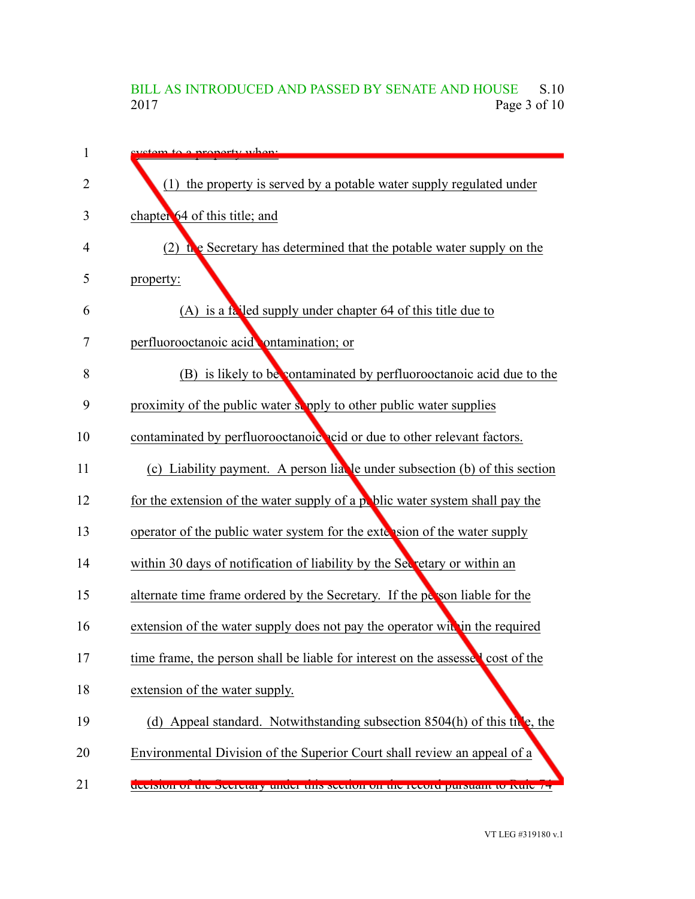## BILL AS INTRODUCED AND PASSED BY SENATE AND HOUSE S.10<br>2017 Page 3 of 10 Page 3 of 10

| 1              | evetem to a property when:                                                      |
|----------------|---------------------------------------------------------------------------------|
| $\overline{2}$ | (1) the property is served by a potable water supply regulated under            |
| 3              | chapter 64 of this title; and                                                   |
| 4              | (2) the Secretary has determined that the potable water supply on the           |
| 5              | property:                                                                       |
| 6              | (A) is a failed supply under chapter 64 of this title due to                    |
| 7              | perfluorooctanoic acid ontamination; or                                         |
| 8              | (B) is likely to be contaminated by perfluorooctanoic acid due to the           |
| 9              | proximity of the public water supply to other public water supplies             |
| 10             | contaminated by perfluorooctanoic cid or due to other relevant factors.         |
| 11             | (c) Liability payment. A person liable under subsection (b) of this section     |
| 12             | for the extension of the water supply of a poblic water system shall pay the    |
| 13             | operator of the public water system for the extension of the water supply       |
| 14             | within 30 days of notification of liability by the Secretary or within an       |
| 15             | alternate time frame ordered by the Secretary. If the person liable for the     |
| 16             | extension of the water supply does not pay the operator within the required     |
| 17             | time frame, the person shall be liable for interest on the assessed cost of the |
| 18             | extension of the water supply.                                                  |
| 19             | (d) Appeal standard. Notwithstanding subsection $8504(h)$ of this the the       |
| 20             | Environmental Division of the Superior Court shall review an appeal of a        |
| 21             | decision of the Secretary under this section on the record pursuant to Kule 74  |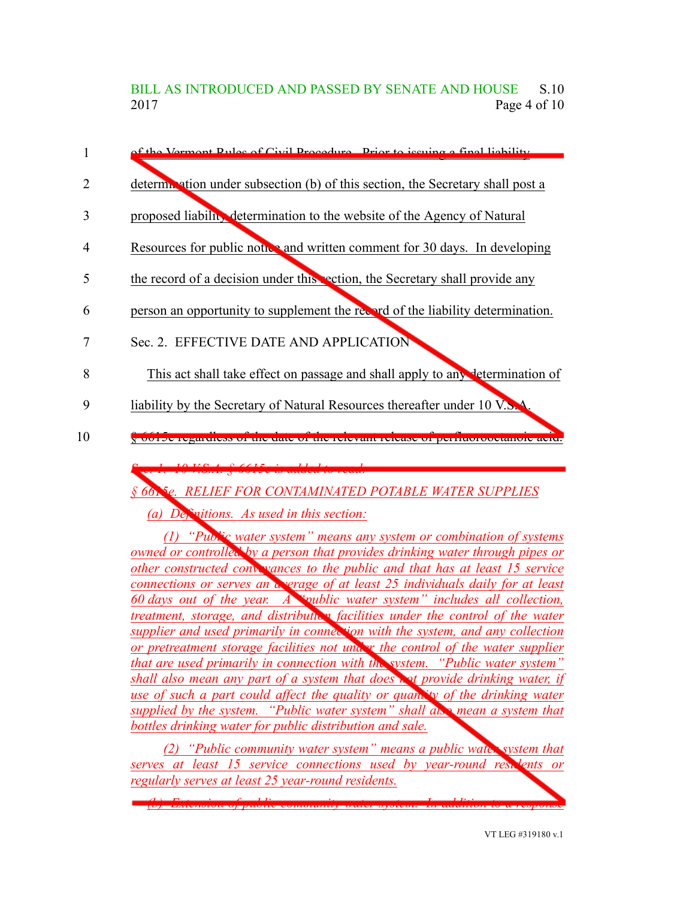BILL AS INTRODUCED AND PASSED BY SENATE AND HOUSE S.10 2017 **Page 4 of 10** 



*§ 6615e. RELIEF FOR CONTAMINATED POTABLE WATER SUPPLIES*

*(a) Definitions. As used in this section:*

*(1) "Public water system" means any system or combination of systems owned or controlled by a person that provides drinking water through pipes or other constructed conveyances to the public and that has at least 15 service connections or serves an average of at least 25 individuals daily for at least 60 days out of the year. A "public water system" includes all collection, treatment, storage, and distribution facilities under the control of the water supplier and used primarily in connection with the system, and any collection or pretreatment storage facilities not under the control of the water supplier that are used primarily in connection with the system. "Public water system" shall also mean any part of a system that does not provide drinking water, if use of such a part could affect the quality or quantity of the drinking water supplied by the system. "Public water system" shall also mean a system that bottles drinking water for public distribution and sale.*

*(2) "Public community water system" means a public water system that serves at least 15 service connections used by year-round residents or regularly serves at least 25 year-round residents.*

*(b) Extension of public community water system. In addition to a response*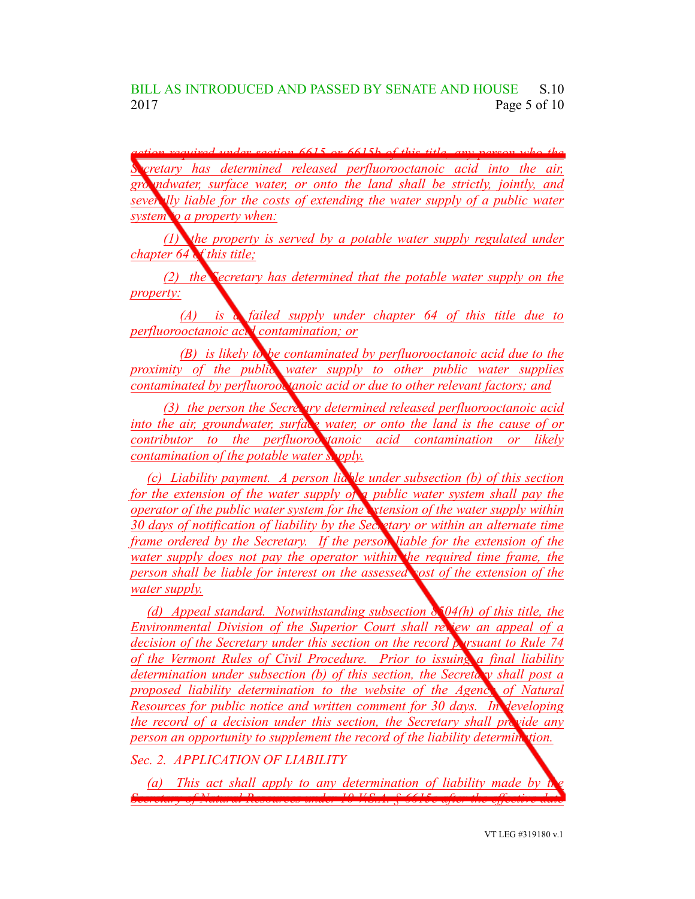$6615$  *or*  $6615b$  *of this title Secretary has determined released perfluorooctanoic acid into the air, groundwater, surface water, or onto the land shall be strictly, jointly, and severally liable for the costs of extending the water supply of a public water system to a property when:*

*(1) the property is served by a potable water supply regulated under chapter 64 of this title;*

*(2) the Secretary has determined that the potable water supply on the property:*

*(A) is a failed supply under chapter 64 of this title due to perfluorooctanoic acid contamination; or*

*(B) is likely to be contaminated by perfluorooctanoic acid due to the proximity of the public water supply to other public water supplies contaminated by perfluorooctanoic acid or due to other relevant factors; and*

*(3) the person the Secretary determined released perfluorooctanoic acid into the air, groundwater, surface water, or onto the land is the cause of or contributor to the perfluorooctanoic acid contamination or likely contamination of the potable water supply.*

*(c) Liability payment. A person liable under subsection (b) of this section for the extension of the water supply of a public water system shall pay the operator of the public water system for the extension of the water supply within 30 days of notification of liability by the Secretary or within an alternate time frame ordered by the Secretary. If the person liable for the extension of the water supply does not pay the operator within the required time frame, the person shall be liable for interest on the assessed cost of the extension of the water supply.*

*(d) Appeal standard. Notwithstanding subsection 8504(h) of this title, the Environmental Division of the Superior Court shall review an appeal of a decision of the Secretary under this section on the record pursuant to Rule 74 of the Vermont Rules of Civil Procedure. Prior to issuing a final liability determination under subsection (b) of this section, the Secretary shall post a proposed liability determination to the website of the Agency of Natural Resources for public notice and written comment for 30 days. In developing the record of a decision under this section, the Secretary shall provide any person an opportunity to supplement the record of the liability determination.*

*Sec. 2. APPLICATION OF LIABILITY*

*(a) This act shall apply to any determination of liability made by the Secretary of Natural Resources under 10 V.S.A. § 6615e after the effective date*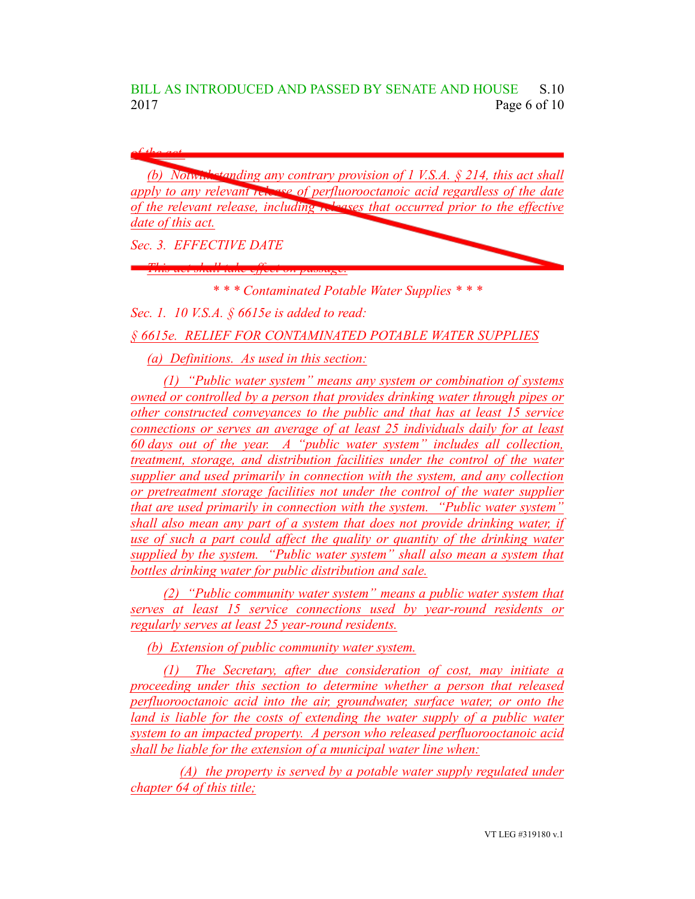BILL AS INTRODUCED AND PASSED BY SENATE AND HOUSE S.10 2017 Page 6 of 10

*of the act.*

*(b) Notwithstanding any contrary provision of 1 V.S.A. § 214, this act shall apply to any relevant release of perfluorooctanoic acid regardless of the date of the relevant release, including releases that occurred prior to the effective date of this act.*

*Sec. 3. EFFECTIVE DATE*

*This act shall take effect on passage.*

*\* \* \* Contaminated Potable Water Supplies \* \* \**

*Sec. 1. 10 V.S.A. § 6615e is added to read:*

*§ 6615e. RELIEF FOR CONTAMINATED POTABLE WATER SUPPLIES*

*(a) Definitions. As used in this section:*

*(1) "Public water system" means any system or combination of systems owned or controlled by a person that provides drinking water through pipes or other constructed conveyances to the public and that has at least 15 service connections or serves an average of at least 25 individuals daily for at least 60 days out of the year. A "public water system" includes all collection, treatment, storage, and distribution facilities under the control of the water supplier and used primarily in connection with the system, and any collection or pretreatment storage facilities not under the control of the water supplier that are used primarily in connection with the system. "Public water system" shall also mean any part of a system that does not provide drinking water, if use of such a part could affect the quality or quantity of the drinking water supplied by the system. "Public water system" shall also mean a system that bottles drinking water for public distribution and sale.*

*(2) "Public community water system" means a public water system that serves at least 15 service connections used by year-round residents or regularly serves at least 25 year-round residents.*

*(b) Extension of public community water system.*

*(1) The Secretary, after due consideration of cost, may initiate a proceeding under this section to determine whether a person that released perfluorooctanoic acid into the air, groundwater, surface water, or onto the land is liable for the costs of extending the water supply of a public water system to an impacted property. A person who released perfluorooctanoic acid shall be liable for the extension of a municipal water line when:*

*(A) the property is served by a potable water supply regulated under chapter 64 of this title;*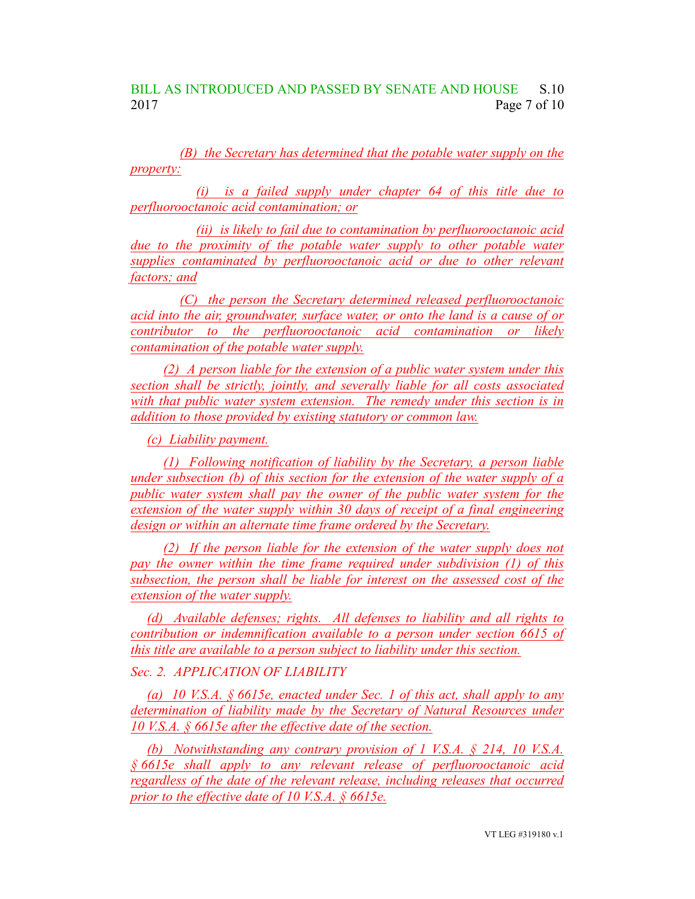*(B) the Secretary has determined that the potable water supply on the property:*

*(i) is a failed supply under chapter 64 of this title due to perfluorooctanoic acid contamination; or*

*(ii) is likely to fail due to contamination by perfluorooctanoic acid due to the proximity of the potable water supply to other potable water supplies contaminated by perfluorooctanoic acid or due to other relevant factors; and*

*(C) the person the Secretary determined released perfluorooctanoic acid into the air, groundwater, surface water, or onto the land is a cause of or contributor to the perfluorooctanoic acid contamination or likely contamination of the potable water supply.*

*(2) A person liable for the extension of a public water system under this section shall be strictly, jointly, and severally liable for all costs associated with that public water system extension. The remedy under this section is in addition to those provided by existing statutory or common law.*

*(c) Liability payment.*

*(1) Following notification of liability by the Secretary, a person liable under subsection (b) of this section for the extension of the water supply of a public water system shall pay the owner of the public water system for the extension of the water supply within 30 days of receipt of a final engineering design or within an alternate time frame ordered by the Secretary.*

*(2) If the person liable for the extension of the water supply does not pay the owner within the time frame required under subdivision (1) of this subsection, the person shall be liable for interest on the assessed cost of the extension of the water supply.*

*(d) Available defenses; rights. All defenses to liability and all rights to contribution or indemnification available to a person under section 6615 of this title are available to a person subject to liability under this section.*

## *Sec. 2. APPLICATION OF LIABILITY*

*(a) 10 V.S.A. § 6615e, enacted under Sec. 1 of this act, shall apply to any determination of liability made by the Secretary of Natural Resources under 10 V.S.A. § 6615e after the effective date of the section.*

*(b) Notwithstanding any contrary provision of 1 V.S.A. § 214, 10 V.S.A. § 6615e shall apply to any relevant release of perfluorooctanoic acid regardless of the date of the relevant release, including releases that occurred prior to the effective date of 10 V.S.A. § 6615e.*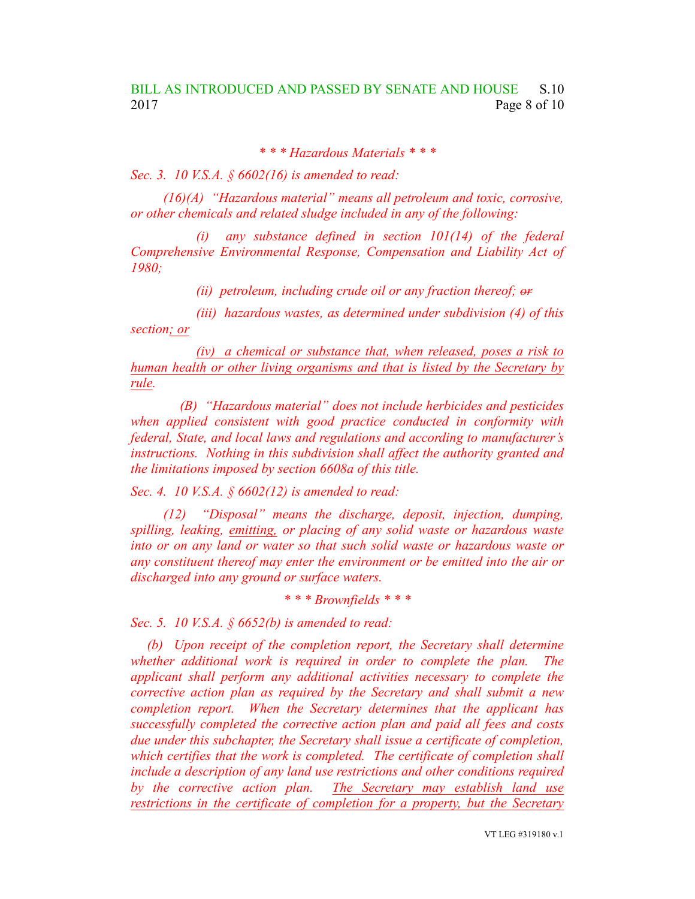*\* \* \* Hazardous Materials \* \* \**

*Sec. 3. 10 V.S.A. § 6602(16) is amended to read:*

*(16)(A) "Hazardous material" means all petroleum and toxic, corrosive, or other chemicals and related sludge included in any of the following:*

*(i) any substance defined in section 101(14) of the federal Comprehensive Environmental Response, Compensation and Liability Act of 1980;*

*(ii) petroleum, including crude oil or any fraction thereof; or*

*(iii) hazardous wastes, as determined under subdivision (4) of this section; or*

*(iv) a chemical or substance that, when released, poses a risk to human health or other living organisms and that is listed by the Secretary by rule.*

*(B) "Hazardous material" does not include herbicides and pesticides when applied consistent with good practice conducted in conformity with federal, State, and local laws and regulations and according to manufacturer's instructions. Nothing in this subdivision shall affect the authority granted and the limitations imposed by section 6608a of this title.*

*Sec. 4. 10 V.S.A. § 6602(12) is amended to read:*

*(12) "Disposal" means the discharge, deposit, injection, dumping, spilling, leaking, emitting, or placing of any solid waste or hazardous waste into or on any land or water so that such solid waste or hazardous waste or any constituent thereof may enter the environment or be emitted into the air or discharged into any ground or surface waters.*

*\* \* \* Brownfields \* \* \**

*Sec. 5. 10 V.S.A. § 6652(b) is amended to read:*

*(b) Upon receipt of the completion report, the Secretary shall determine whether additional work is required in order to complete the plan. The applicant shall perform any additional activities necessary to complete the corrective action plan as required by the Secretary and shall submit a new completion report. When the Secretary determines that the applicant has successfully completed the corrective action plan and paid all fees and costs due under this subchapter, the Secretary shall issue a certificate of completion, which certifies that the work is completed. The certificate of completion shall include a description of any land use restrictions and other conditions required by the corrective action plan. The Secretary may establish land use restrictions in the certificate of completion for a property, but the Secretary*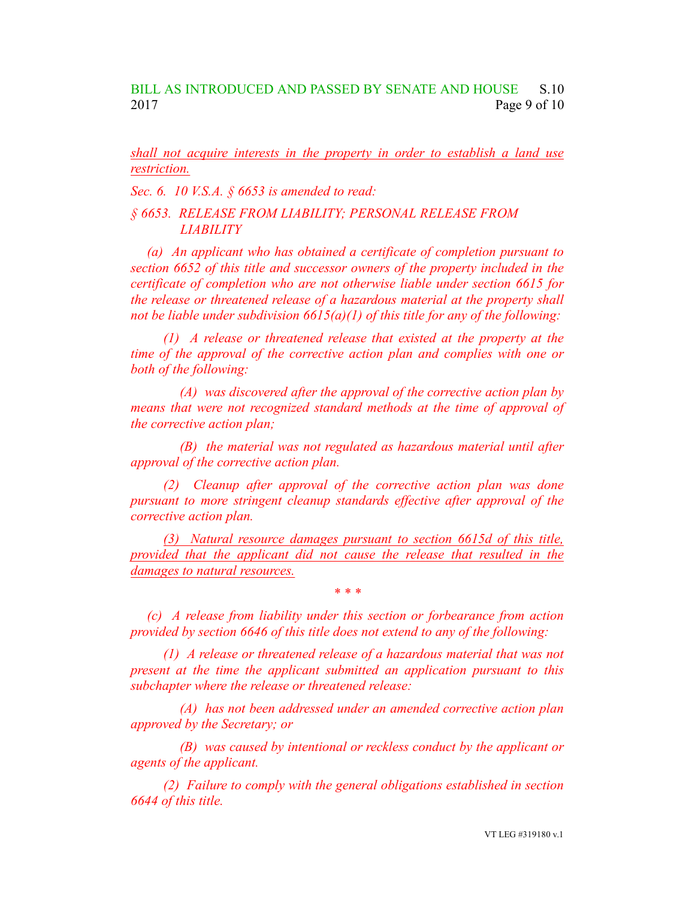*shall not acquire interests in the property in order to establish a land use restriction.*

*Sec. 6. 10 V.S.A. § 6653 is amended to read:*

*§ 6653. RELEASE FROM LIABILITY; PERSONAL RELEASE FROM LIABILITY*

*(a) An applicant who has obtained a certificate of completion pursuant to section 6652 of this title and successor owners of the property included in the certificate of completion who are not otherwise liable under section 6615 for the release or threatened release of a hazardous material at the property shall not be liable under subdivision 6615(a)(1) of this title for any of the following:*

*(1) A release or threatened release that existed at the property at the time of the approval of the corrective action plan and complies with one or both of the following:*

*(A) was discovered after the approval of the corrective action plan by means that were not recognized standard methods at the time of approval of the corrective action plan;*

*(B) the material was not regulated as hazardous material until after approval of the corrective action plan.*

*(2) Cleanup after approval of the corrective action plan was done pursuant to more stringent cleanup standards effective after approval of the corrective action plan.*

*(3) Natural resource damages pursuant to section 6615d of this title, provided that the applicant did not cause the release that resulted in the damages to natural resources.*

*\* \* \**

*(c) A release from liability under this section or forbearance from action provided by section 6646 of this title does not extend to any of the following:*

*(1) A release or threatened release of a hazardous material that was not present at the time the applicant submitted an application pursuant to this subchapter where the release or threatened release:*

*(A) has not been addressed under an amended corrective action plan approved by the Secretary; or*

*(B) was caused by intentional or reckless conduct by the applicant or agents of the applicant.*

*(2) Failure to comply with the general obligations established in section 6644 of this title.*